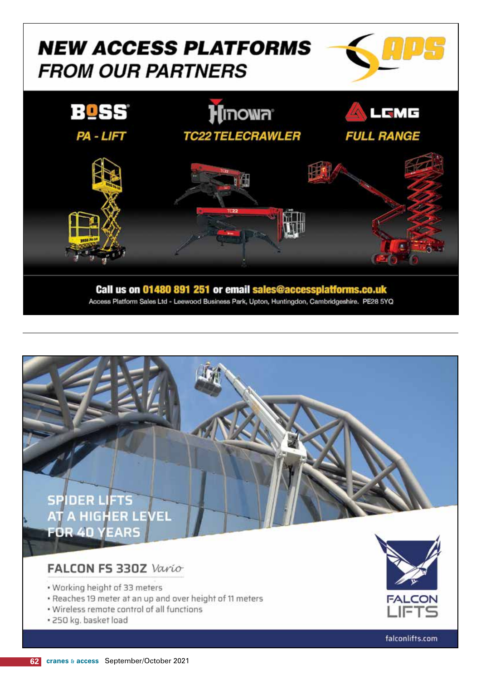### **NEW ACCESS PLATFORMS FROM OUR PARTNERS**





Access Platform Sales Ltd - Leewood Business Park, Upton, Huntingdon, Cambridgeshire. PE28 5YQ



#### FALCON FS 330Z Vario

- . Working height of 33 meters
- . Reaches 19 meter at an up and over height of 11 meters
- . Wireless remote control of all functions
- · 250 kg. basket load



falconlifts.com